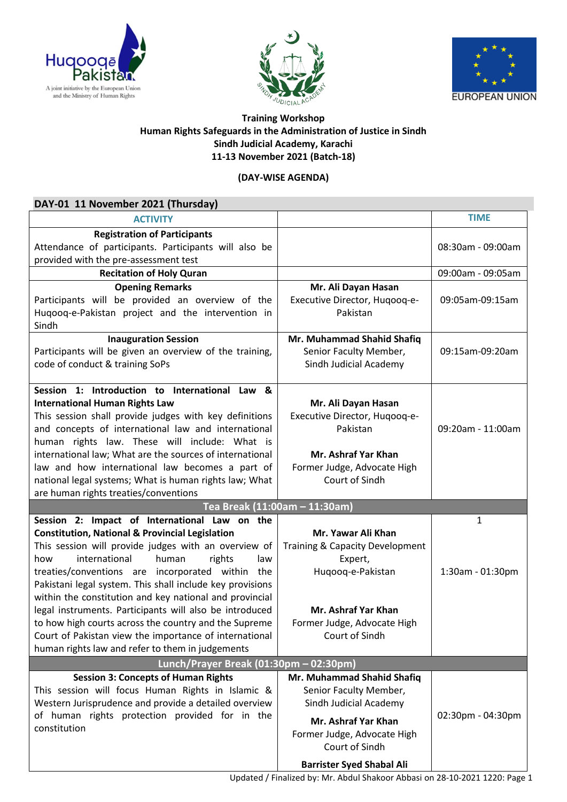





## **Training Workshop Human Rights Safeguards in the Administration of Justice in Sindh Sindh Judicial Academy, Karachi 11-13 November 2021 (Batch-18)**

## **(DAY-WISE AGENDA)**

| DAY-01 11 November 2021 (Thursday)                                                                                                                                                                                                                                                                                                                                                                                                                                                                                                                                                                                                  |                                                                                                                                                               |                       |  |
|-------------------------------------------------------------------------------------------------------------------------------------------------------------------------------------------------------------------------------------------------------------------------------------------------------------------------------------------------------------------------------------------------------------------------------------------------------------------------------------------------------------------------------------------------------------------------------------------------------------------------------------|---------------------------------------------------------------------------------------------------------------------------------------------------------------|-----------------------|--|
| <b>ACTIVITY</b>                                                                                                                                                                                                                                                                                                                                                                                                                                                                                                                                                                                                                     |                                                                                                                                                               | <b>TIME</b>           |  |
| <b>Registration of Participants</b><br>Attendance of participants. Participants will also be<br>provided with the pre-assessment test                                                                                                                                                                                                                                                                                                                                                                                                                                                                                               |                                                                                                                                                               | 08:30am - 09:00am     |  |
| <b>Recitation of Holy Quran</b>                                                                                                                                                                                                                                                                                                                                                                                                                                                                                                                                                                                                     |                                                                                                                                                               | 09:00am - 09:05am     |  |
| <b>Opening Remarks</b><br>Participants will be provided an overview of the<br>Huqooq-e-Pakistan project and the intervention in<br>Sindh                                                                                                                                                                                                                                                                                                                                                                                                                                                                                            | Mr. Ali Dayan Hasan<br>Executive Director, Hugoog-e-<br>Pakistan                                                                                              | 09:05am-09:15am       |  |
| <b>Inauguration Session</b><br>Participants will be given an overview of the training,<br>code of conduct & training SoPs                                                                                                                                                                                                                                                                                                                                                                                                                                                                                                           | Mr. Muhammad Shahid Shafiq<br>Senior Faculty Member,<br>Sindh Judicial Academy                                                                                | 09:15am-09:20am       |  |
| Session 1: Introduction to International Law &<br><b>International Human Rights Law</b><br>This session shall provide judges with key definitions<br>and concepts of international law and international<br>human rights law. These will include: What is<br>international law; What are the sources of international<br>law and how international law becomes a part of<br>national legal systems; What is human rights law; What<br>are human rights treaties/conventions                                                                                                                                                         | Mr. Ali Dayan Hasan<br>Executive Director, Hugoog-e-<br>Pakistan<br>Mr. Ashraf Yar Khan<br>Former Judge, Advocate High<br>Court of Sindh                      | 09:20am - 11:00am     |  |
| Tea Break (11:00am - 11:30am)                                                                                                                                                                                                                                                                                                                                                                                                                                                                                                                                                                                                       |                                                                                                                                                               |                       |  |
| Session 2: Impact of International Law on the<br><b>Constitution, National &amp; Provincial Legislation</b><br>This session will provide judges with an overview of<br>international<br>human<br>rights<br>how<br>law<br>treaties/conventions are incorporated within the<br>Pakistani legal system. This shall include key provisions<br>within the constitution and key national and provincial<br>legal instruments. Participants will also be introduced<br>to how high courts across the country and the Supreme<br>Court of Pakistan view the importance of international<br>human rights law and refer to them in judgements | Mr. Yawar Ali Khan<br>Training & Capacity Development<br>Expert,<br>Huqooq-e-Pakistan<br>Mr. Ashraf Yar Khan<br>Former Judge, Advocate High<br>Court of Sindh | 1<br>1:30am - 01:30pm |  |
| Lunch/Prayer Break (01:30pm - 02:30pm)                                                                                                                                                                                                                                                                                                                                                                                                                                                                                                                                                                                              |                                                                                                                                                               |                       |  |
| <b>Session 3: Concepts of Human Rights</b><br>This session will focus Human Rights in Islamic &<br>Western Jurisprudence and provide a detailed overview<br>of human rights protection provided for in the<br>constitution                                                                                                                                                                                                                                                                                                                                                                                                          | Mr. Muhammad Shahid Shafiq<br>Senior Faculty Member,<br>Sindh Judicial Academy<br>Mr. Ashraf Yar Khan<br>Former Judge, Advocate High<br>Court of Sindh        | 02:30pm - 04:30pm     |  |
|                                                                                                                                                                                                                                                                                                                                                                                                                                                                                                                                                                                                                                     | <b>Barrister Syed Shabal Ali</b>                                                                                                                              |                       |  |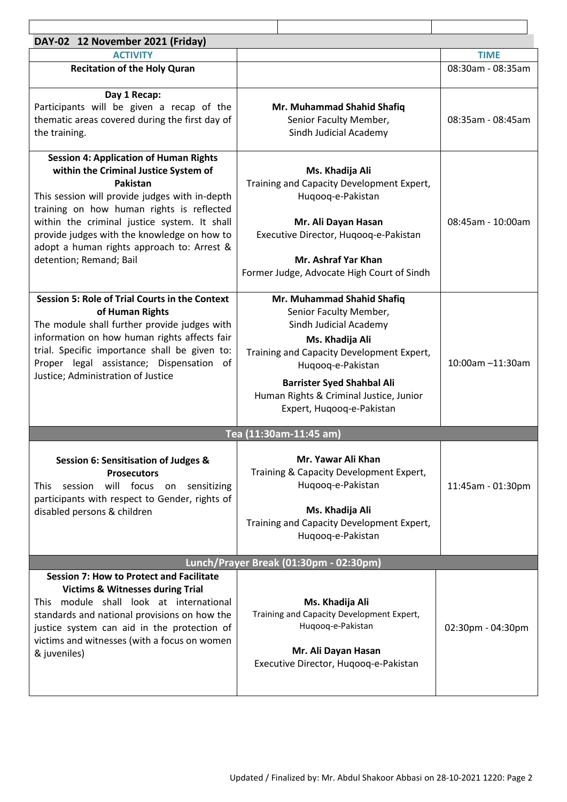| DAY-02 12 November 2021 (Friday)                                                                                                                                                                                                                                                                                                                                          |                                                                                                                                                                                                                                                                                  |                   |  |
|---------------------------------------------------------------------------------------------------------------------------------------------------------------------------------------------------------------------------------------------------------------------------------------------------------------------------------------------------------------------------|----------------------------------------------------------------------------------------------------------------------------------------------------------------------------------------------------------------------------------------------------------------------------------|-------------------|--|
| <b>ACTIVITY</b>                                                                                                                                                                                                                                                                                                                                                           |                                                                                                                                                                                                                                                                                  | <b>TIME</b>       |  |
| <b>Recitation of the Holy Quran</b>                                                                                                                                                                                                                                                                                                                                       |                                                                                                                                                                                                                                                                                  | 08:30am - 08:35am |  |
| Day 1 Recap:<br>Participants will be given a recap of the<br>thematic areas covered during the first day of<br>the training.                                                                                                                                                                                                                                              | Mr. Muhammad Shahid Shafiq<br>Senior Faculty Member,<br>Sindh Judicial Academy                                                                                                                                                                                                   | 08:35am - 08:45am |  |
| <b>Session 4: Application of Human Rights</b><br>within the Criminal Justice System of<br>Pakistan<br>This session will provide judges with in-depth<br>training on how human rights is reflected<br>within the criminal justice system. It shall<br>provide judges with the knowledge on how to<br>adopt a human rights approach to: Arrest &<br>detention; Remand; Bail | Ms. Khadija Ali<br>Training and Capacity Development Expert,<br>Huqooq-e-Pakistan<br>Mr. Ali Dayan Hasan<br>Executive Director, Hugoog-e-Pakistan<br>Mr. Ashraf Yar Khan<br>Former Judge, Advocate High Court of Sindh                                                           | 08:45am - 10:00am |  |
| <b>Session 5: Role of Trial Courts in the Context</b><br>of Human Rights<br>The module shall further provide judges with<br>information on how human rights affects fair<br>trial. Specific importance shall be given to:<br>Proper legal assistance; Dispensation of<br>Justice; Administration of Justice                                                               | Mr. Muhammad Shahid Shafiq<br>Senior Faculty Member,<br>Sindh Judicial Academy<br>Ms. Khadija Ali<br>Training and Capacity Development Expert,<br>Huqooq-e-Pakistan<br><b>Barrister Syed Shahbal Ali</b><br>Human Rights & Criminal Justice, Junior<br>Expert, Hugoog-e-Pakistan | 10:00am -11:30am  |  |
| Tea (11:30am-11:45 am)                                                                                                                                                                                                                                                                                                                                                    |                                                                                                                                                                                                                                                                                  |                   |  |
| Session 6: Sensitisation of Judges &<br><b>Prosecutors</b><br>will focus on sensitizing<br>session<br><b>This</b><br>participants with respect to Gender, rights of<br>disabled persons & children                                                                                                                                                                        | Mr. Yawar Ali Khan<br>Training & Capacity Development Expert,<br>Hugoog-e-Pakistan<br>Ms. Khadija Ali<br>Training and Capacity Development Expert,<br>Huqooq-e-Pakistan                                                                                                          | 11:45am - 01:30pm |  |
| Lunch/Prayer Break (01:30pm - 02:30pm)                                                                                                                                                                                                                                                                                                                                    |                                                                                                                                                                                                                                                                                  |                   |  |
| <b>Session 7: How to Protect and Facilitate</b><br><b>Victims &amp; Witnesses during Trial</b><br>This module shall look at international<br>standards and national provisions on how the<br>justice system can aid in the protection of<br>victims and witnesses (with a focus on women<br>& juveniles)                                                                  | Ms. Khadija Ali<br>Training and Capacity Development Expert,<br>Huqooq-e-Pakistan<br>Mr. Ali Dayan Hasan<br>Executive Director, Hugoog-e-Pakistan                                                                                                                                | 02:30pm - 04:30pm |  |